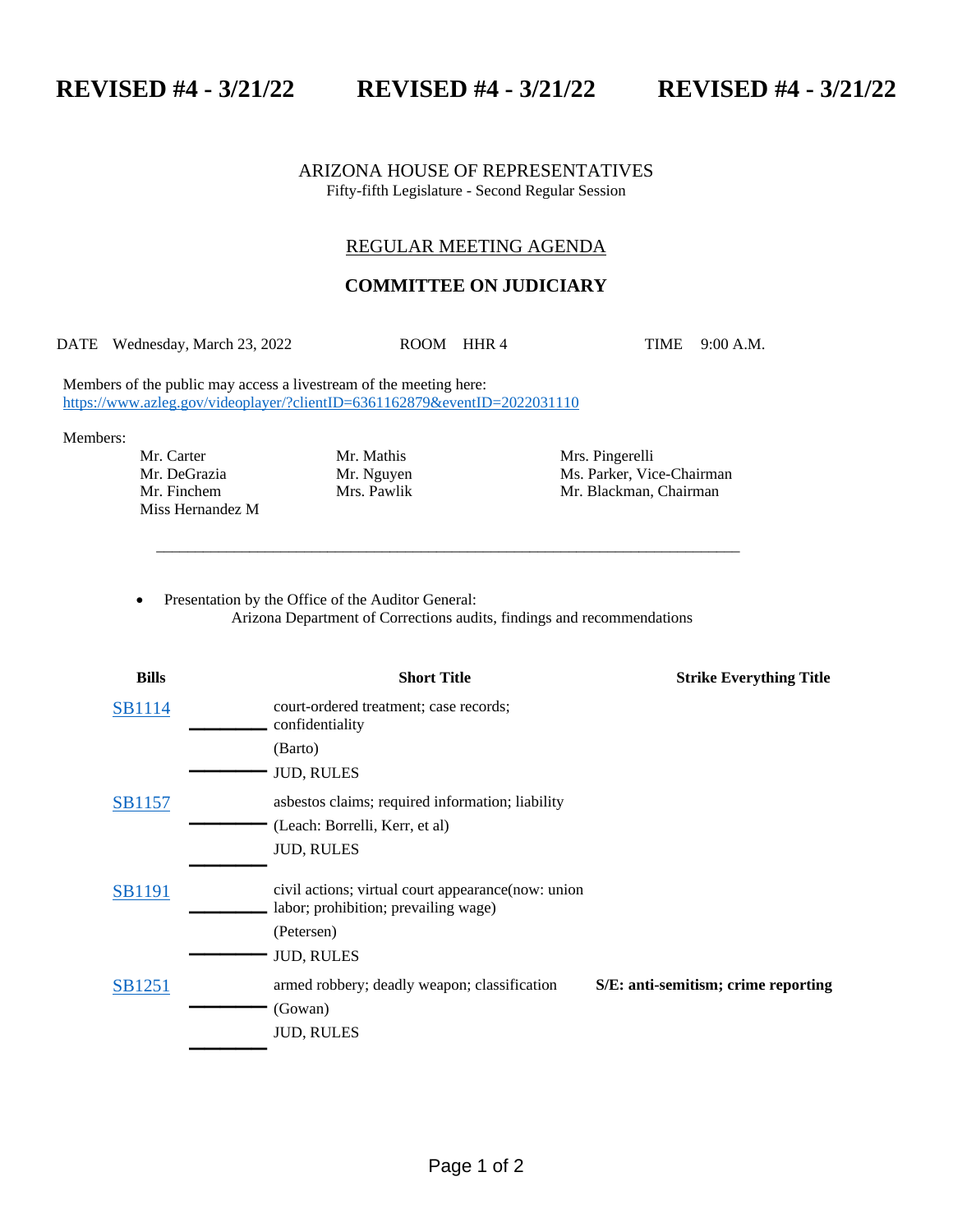**REVISED #4 - 3/21/22 REVISED #4 - 3/21/22 REVISED #4 - 3/21/22**

ARIZONA HOUSE OF REPRESENTATIVES Fifty-fifth Legislature - Second Regular Session

## REGULAR MEETING AGENDA

## **COMMITTEE ON JUDICIARY**

DATE Wednesday, March 23, 2022 ROOM HHR 4 TIME 9:00 A.M.

\_\_\_\_\_\_\_\_\_\_\_\_\_\_\_\_\_\_\_\_\_\_\_\_\_\_\_\_\_\_\_\_\_\_\_\_\_\_\_\_\_\_\_\_\_\_\_\_\_\_\_\_\_\_\_\_\_\_\_\_\_\_\_\_\_\_\_\_\_\_\_\_\_\_\_

Members of the public may access a livestream of the meeting here: <https://www.azleg.gov/videoplayer/?clientID=6361162879&eventID=2022031110>

Members:

Mr. Carter Mr. Mathis Mrs. Pingerelli Miss Hernandez M

Mr. DeGrazia Mr. Myuyen Ms. Parker, Vice-Chairman Mr. Finchem Mrs. Pawlik Mr. Blackman, Chairman

Presentation by the Office of the Auditor General: Arizona Department of Corrections audits, findings and recommendations

| <b>Bills</b>  | <b>Short Title</b>                                                                          | <b>Strike Everything Title</b>      |
|---------------|---------------------------------------------------------------------------------------------|-------------------------------------|
| SB1114        | court-ordered treatment; case records;<br>confidentiality                                   |                                     |
|               | (Barto)                                                                                     |                                     |
|               | <b>JUD, RULES</b>                                                                           |                                     |
| <b>SB1157</b> | asbestos claims; required information; liability                                            |                                     |
|               | (Leach: Borrelli, Kerr, et al)                                                              |                                     |
|               | <b>JUD, RULES</b>                                                                           |                                     |
| <b>SB1191</b> | civil actions; virtual court appearance (now: union<br>labor; prohibition; prevailing wage) |                                     |
|               | (Petersen)                                                                                  |                                     |
|               | <b>JUD, RULES</b>                                                                           |                                     |
| <b>SB1251</b> | armed robbery; deadly weapon; classification                                                | S/E: anti-semitism; crime reporting |
|               | (Gowan)                                                                                     |                                     |
|               | <b>JUD, RULES</b>                                                                           |                                     |
|               |                                                                                             |                                     |